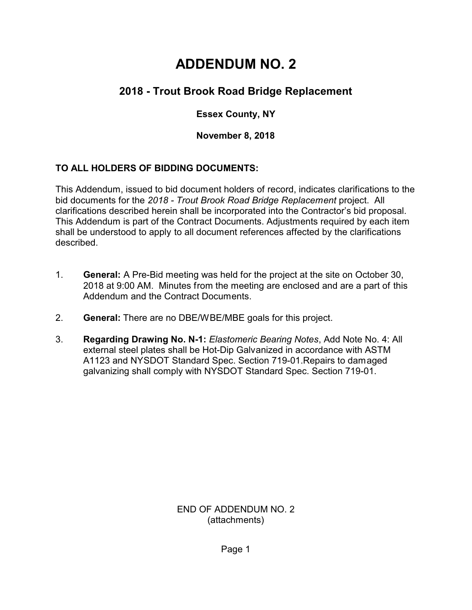# **ADDENDUM NO. 2**

## **2018 - Trout Brook Road Bridge Replacement**

## **Essex County, NY**

#### **November 8, 2018**

### **TO ALL HOLDERS OF BIDDING DOCUMENTS:**

This Addendum, issued to bid document holders of record, indicates clarifications to the bid documents for the *2018 - Trout Brook Road Bridge Replacement* project. All clarifications described herein shall be incorporated into the Contractor's bid proposal. This Addendum is part of the Contract Documents. Adjustments required by each item shall be understood to apply to all document references affected by the clarifications described.

- 1. **General:** A Pre-Bid meeting was held for the project at the site on October 30, 2018 at 9:00 AM. Minutes from the meeting are enclosed and are a part of this Addendum and the Contract Documents.
- 2. **General:** There are no DBE/WBE/MBE goals for this project.
- 3. **Regarding Drawing No. N-1:** *Elastomeric Bearing Notes*, Add Note No. 4: All external steel plates shall be Hot-Dip Galvanized in accordance with ASTM A1123 and NYSDOT Standard Spec. Section 719-01.Repairs to damaged galvanizing shall comply with NYSDOT Standard Spec. Section 719-01.

END OF ADDENDUM NO. 2 (attachments)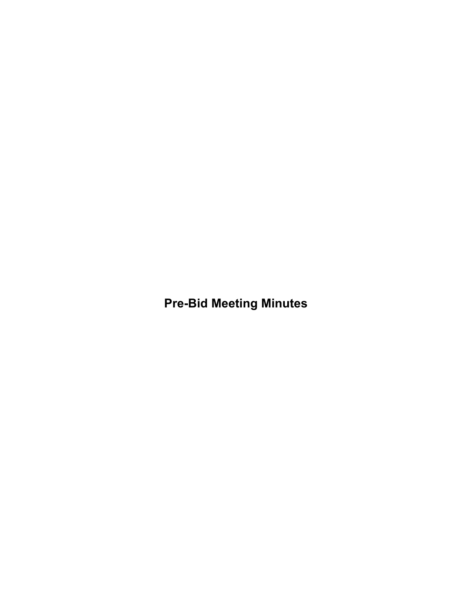**Pre-Bid Meeting Minutes**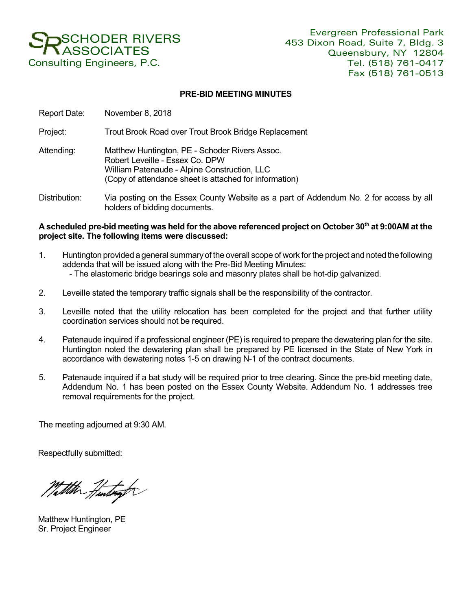*SCHODER RIVERS ASSOCIATES Consulting Engineers, P.C.*

#### **PRE-BID MEETING MINUTES**

Report Date: November 8, 2018

Project: Trout Brook Road over Trout Brook Bridge Replacement

- Attending: Matthew Huntington, PE Schoder Rivers Assoc. Robert Leveille - Essex Co. DPW William Patenaude - Alpine Construction, LLC (Copy of attendance sheet is attached for information)
- Distribution: Via posting on the Essex County Website as a part of Addendum No. 2 for access by all holders of bidding documents.

#### A scheduled pre-bid meeting was held for the above referenced project on October 30th at 9:00AM at the **project site. The following items were discussed:**

- 1. Huntington provided a general summary of the overall scope of work for the project and noted the following addenda that will be issued along with the Pre-Bid Meeting Minutes:
	- The elastomeric bridge bearings sole and masonry plates shall be hot-dip galvanized.
- 2. Leveille stated the temporary traffic signals shall be the responsibility of the contractor.
- 3. Leveille noted that the utility relocation has been completed for the project and that further utility coordination services should not be required.
- 4. Patenaude inquired if a professional engineer (PE) is required to prepare the dewatering plan for the site. Huntington noted the dewatering plan shall be prepared by PE licensed in the State of New York in accordance with dewatering notes 1-5 on drawing N-1 of the contract documents.
- 5. Patenaude inquired if a bat study will be required prior to tree clearing. Since the pre-bid meeting date, Addendum No. 1 has been posted on the Essex County Website. Addendum No. 1 addresses tree removal requirements for the project.

The meeting adjourned at 9:30 AM.

Respectfully submitted:

With Hinting

Matthew Huntington, PE Sr. Project Engineer